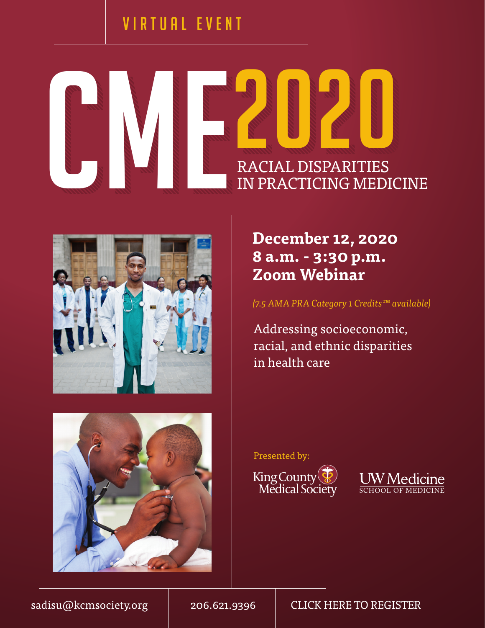## VIRTUAL EVENT







**December 12, 2020 8 a.m. - 3:30 p.m. Zoom Webinar**

*(7.5 AMA PRA Category 1 Credits™ available)* 

Addressing socioeconomic, racial, and ethnic disparities in health care

Presented by:





[sadisu@kcmsociety.org](mailto:sadisu%40kcmsociety.org?subject=CME%202020%3A%20Racial%20Disparities%20in%20Practicing%20Medicine) | 206.621.9396 | [CLICK HERE TO REGISTER](https://us02web.zoom.us/webinar/register/WN_h4MmmJCbQU6A4_fqme98ZA)